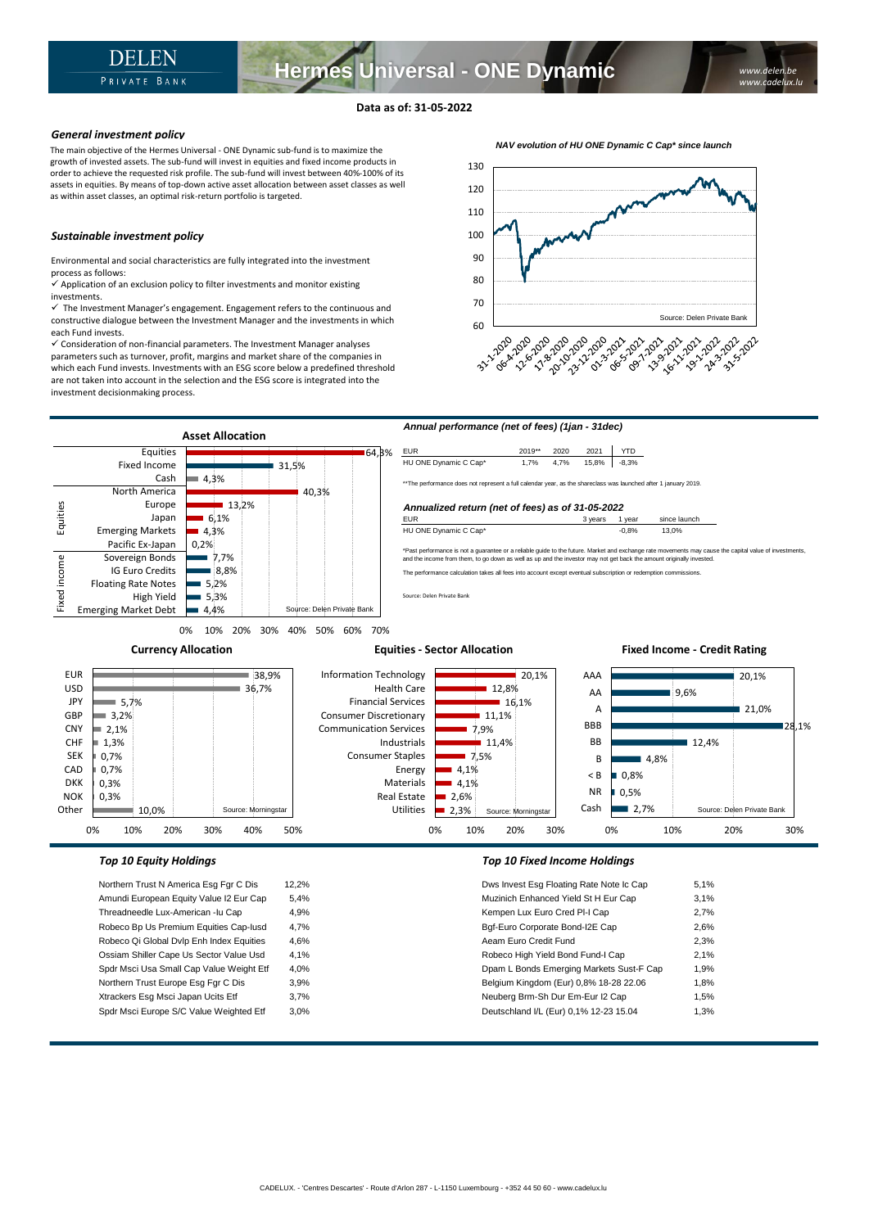# **Data as of: 31-05-2022**

## *General investment policy*

The main objective of the Hermes Universal - ONE Dynamic sub-fund is to maximize the growth of invested assets. The sub-fund will invest in equities and fixed income products in order to achieve the requested risk profile. The sub-fund will invest between 40%-100% of its assets in equities. By means of top-down active asset allocation between asset classes as well as within asset classes, an optimal risk-return portfolio is targeted.

#### *Sustainable investment policy*

Environmental and social characteristics are fully integrated into the investment process as follows:

 $\checkmark$  Application of an exclusion policy to filter investments and monitor existing investments.

 $\checkmark$  The Investment Manager's engagement. Engagement refers to the continuous and constructive dialogue between the Investment Manager and the investments in which each Fund invests.

✓ Consideration of non-financial parameters. The Investment Manager analyses parameters such as turnover, profit, margins and market share of the companies in which each Fund invests. Investments with an ESG score below a predefined threshold are not taken into account in the selection and the ESG score is integrated into the investment decisionmaking process.





Amundi European Equity Value I2 Eur Cap 5,4% Threadneedle Lux-American -lu Cap 4,9% Robeco Bp Us Premium Equities Cap-Iusd 4,7% Robeco Qi Global Dvlp Enh Index Equities 4,6% Ossiam Shiller Cape Us Sector Value Usd 4,1% Spdr Msci Usa Small Cap Value Weight Etf 4,0% Northern Trust Europe Esg Fgr C Dis 3,9% Xtrackers Esg Msci Japan Ucits Etf 3,7% Spdr Msci Europe S/C Value Weighted Etf 3,0%

| Dws Invest Esg Floating Rate Note Ic Cap | 5,1% |
|------------------------------------------|------|
| Muzinich Enhanced Yield St H Eur Cap     | 3.1% |
| Kempen Lux Euro Cred PI-I Cap            | 2,7% |
| Bqf-Euro Corporate Bond-I2E Cap          | 2,6% |
| Aeam Euro Credit Fund                    | 2,3% |
| Robeco High Yield Bond Fund-I Cap        | 2,1% |
| Dpam L Bonds Emerging Markets Sust-F Cap | 1,9% |
| Belgium Kingdom (Eur) 0,8% 18-28 22.06   | 1,8% |
| Neuberg Brm-Sh Dur Em-Eur I2 Cap         | 1,5% |
| Deutschland I/L (Eur) 0,1% 12-23 15.04   | 1,3% |
|                                          |      |